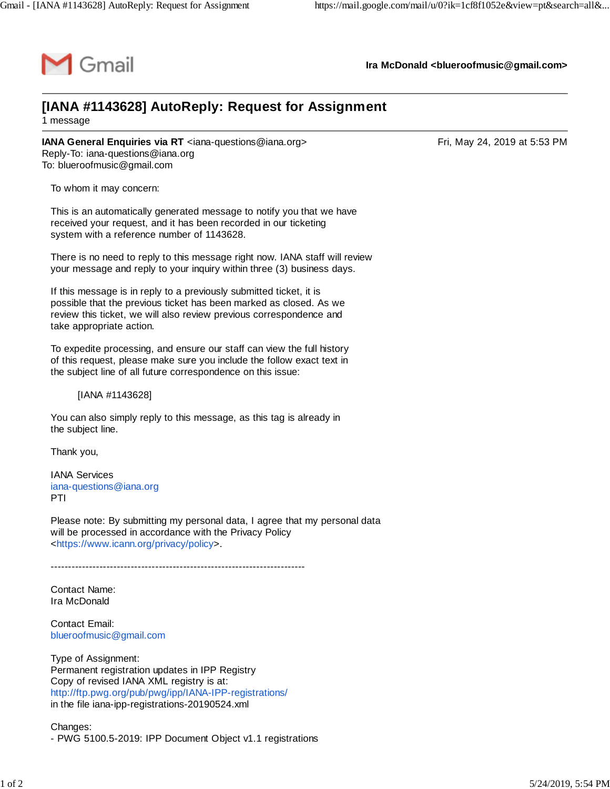

**Ira McDonald [<blueroofmusic@gmail.com>](mailto:blueroofmusic@gmail.com)**

## **[IANA #1143628] AutoReply: Request for Assignment** 1 message

**IANA General Enquiries via RT** <[iana-questions@iana.org](mailto:iana-questions@iana.org)> **Entitable 10.13 PM**Tri, May 24, 2019 at 5:53 PM Reply-To: [iana-questions@iana.org](mailto:iana-questions@iana.org) To: [blueroofmusic@gmail.com](mailto:blueroofmusic@gmail.com)

To whom it may concern:

This is an automatically generated message to notify you that we have received your request, and it has been recorded in our ticketing system with a reference number of 1143628.

There is no need to reply to this message right now. IANA staff will review your message and reply to your inquiry within three (3) business days.

If this message is in reply to a previously submitted ticket, it is possible that the previous ticket has been marked as closed. As we review this ticket, we will also review previous correspondence and take appropriate action.

To expedite processing, and ensure our staff can view the full history of this request, please make sure you include the follow exact text in the subject line of all future correspondence on this issue:

[IANA #1143628]

You can also simply reply to this message, as this tag is already in the subject line.

Thank you,

IANA Services [iana-questions@iana.org](mailto:iana-questions@iana.org) PTI

Please note: By submitting my personal data, I agree that my personal data will be processed in accordance with the Privacy Policy <[https://www.icann.org/privacy/policy>](https://www.icann.org/privacy/policy).

-------------------------------------------------------------------------

Contact Name: Ira McDonald

Contact Email: [blueroofmusic@gmail.com](mailto:blueroofmusic@gmail.com)

Type of Assignment: Permanent registration updates in IPP Registry Copy of revised IANA XML registry is at: <http://ftp.pwg.org/pub/pwg/ipp/IANA-IPP-registrations/> in the file iana-ipp-registrations-20190524.xml

Changes: - PWG 5100.5-2019: IPP Document Object v1.1 registrations